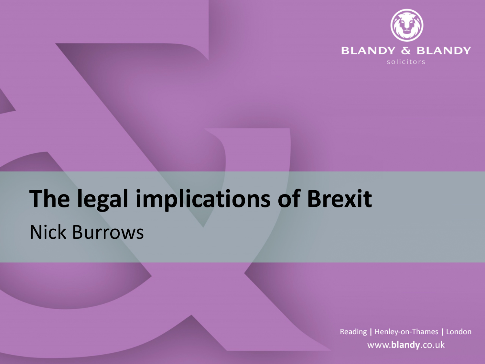

## **The legal implications of Brexit** Nick Burrows

Reading | Henley-on-Thames | London www.blandy.co.uk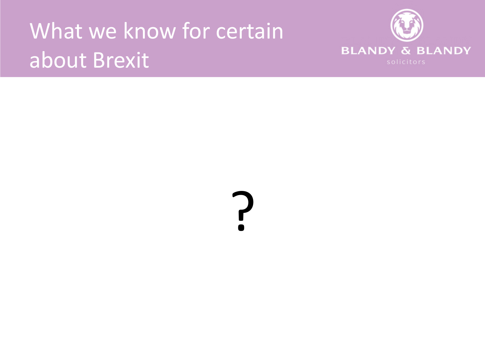#### What we know for certain about Brexit



?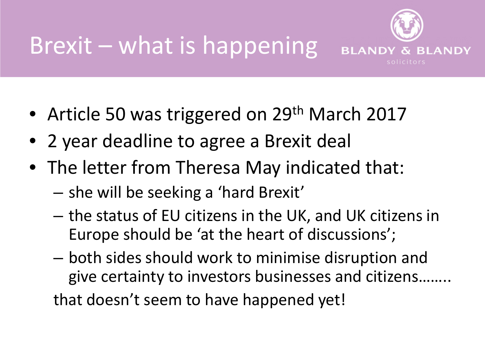

- Article 50 was triggered on 29<sup>th</sup> March 2017
- 2 year deadline to agree a Brexit deal
- The letter from Theresa May indicated that:
	- she will be seeking a 'hard Brexit'
	- the status of EU citizens in the UK, and UK citizens in Europe should be 'at the heart of discussions';
	- both sides should work to minimise disruption and give certainty to investors businesses and citizens…….. that doesn't seem to have happened yet!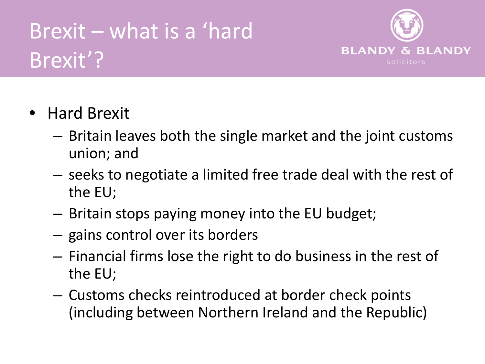### Brexit – what is a 'hard Brexit'?



- Hard Brexit
	- Britain leaves both the single market and the joint customs union; and
	- seeks to negotiate a limited free trade deal with the rest of the EU;
	- Britain stops paying money into the EU budget;
	- gains control over its borders
	- Financial firms lose the right to do business in the rest of the EU;
	- Customs checks reintroduced at border check points (including between Northern Ireland and the Republic)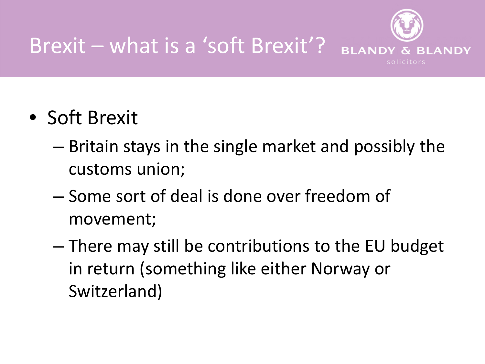

#### • Soft Brexit

- Britain stays in the single market and possibly the customs union;
- Some sort of deal is done over freedom of movement;
- There may still be contributions to the EU budget in return (something like either Norway or Switzerland)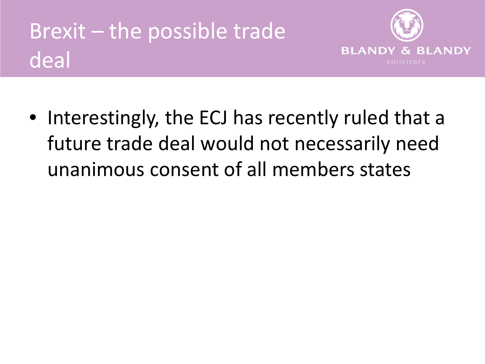## Brexit – the possible trade deal



• Interestingly, the ECJ has recently ruled that a future trade deal would not necessarily need unanimous consent of all members states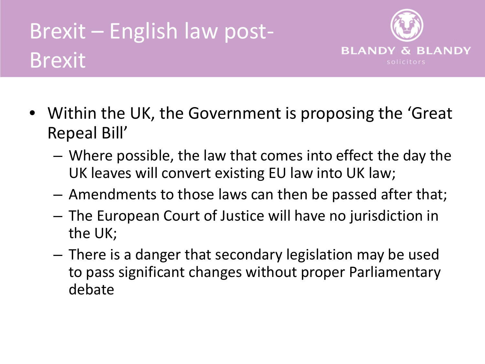## Brexit – English law post-**Brexit**



- Within the UK, the Government is proposing the 'Great Repeal Bill'
	- Where possible, the law that comes into effect the day the UK leaves will convert existing EU law into UK law;
	- Amendments to those laws can then be passed after that;
	- The European Court of Justice will have no jurisdiction in the UK;
	- There is a danger that secondary legislation may be used to pass significant changes without proper Parliamentary debate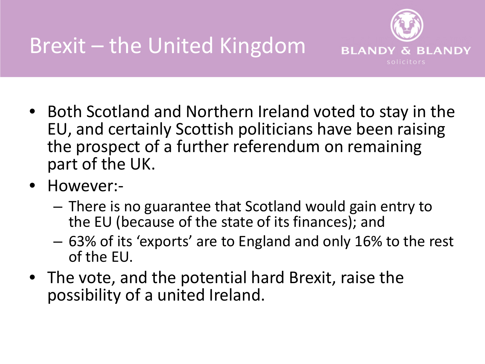

- Both Scotland and Northern Ireland voted to stay in the EU, and certainly Scottish politicians have been raising the prospect of a further referendum on remaining part of the UK.
- However:-
	- There is no guarantee that Scotland would gain entry to the EU (because of the state of its finances); and
	- 63% of its 'exports' are to England and only 16% to the rest of the EU.
- The vote, and the potential hard Brexit, raise the possibility of a united Ireland.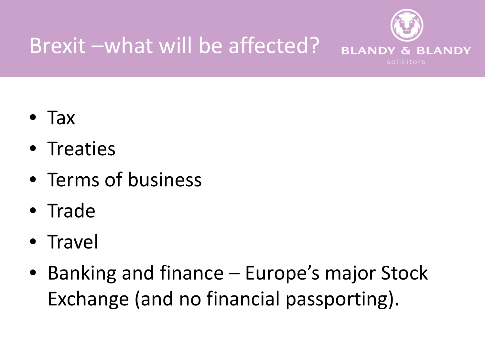

- Tax
- Treaties
- Terms of business
- Trade
- Travel
- Banking and finance Europe's major Stock Exchange (and no financial passporting).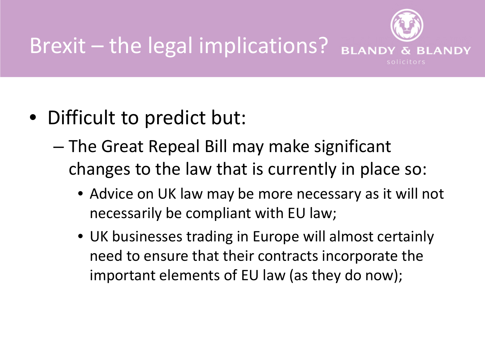

- Difficult to predict but:
	- The Great Repeal Bill may make significant changes to the law that is currently in place so:
		- Advice on UK law may be more necessary as it will not necessarily be compliant with EU law;
		- UK businesses trading in Europe will almost certainly need to ensure that their contracts incorporate the important elements of EU law (as they do now);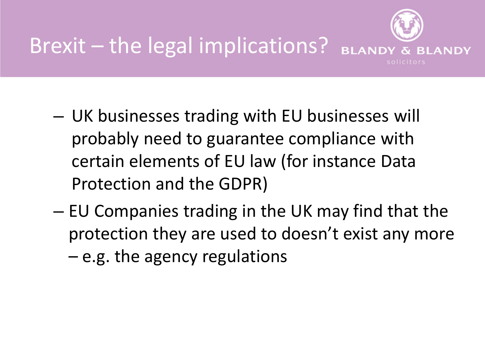

- UK businesses trading with EU businesses will probably need to guarantee compliance with certain elements of EU law (for instance Data Protection and the GDPR)
- EU Companies trading in the UK may find that the protection they are used to doesn't exist any more – e.g. the agency regulations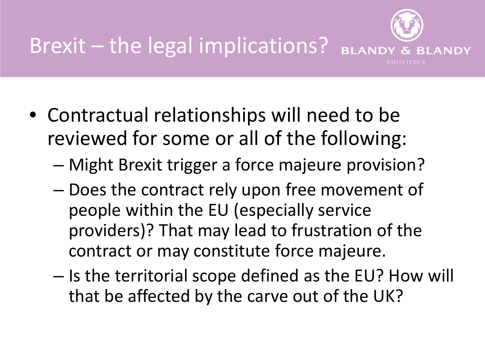

- Contractual relationships will need to be reviewed for some or all of the following:
	- Might Brexit trigger a force majeure provision?
	- Does the contract rely upon free movement of people within the EU (especially service providers)? That may lead to frustration of the contract or may constitute force majeure.
	- Is the territorial scope defined as the EU? How will that be affected by the carve out of the UK?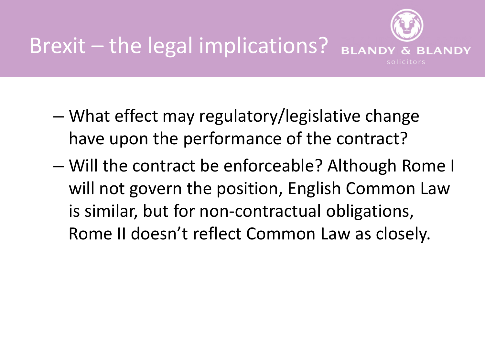

- What effect may regulatory/legislative change have upon the performance of the contract?
- Will the contract be enforceable? Although Rome I will not govern the position, English Common Law is similar, but for non-contractual obligations, Rome II doesn't reflect Common Law as closely.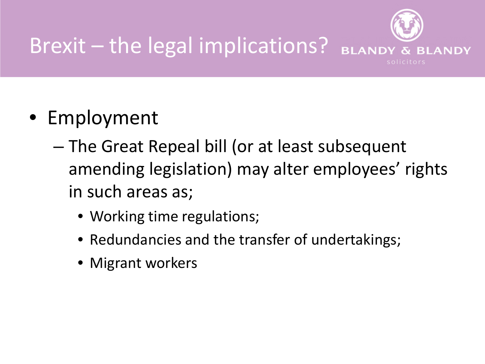

#### • Employment

- The Great Repeal bill (or at least subsequent amending legislation) may alter employees' rights in such areas as;
	- Working time regulations;
	- Redundancies and the transfer of undertakings;
	- Migrant workers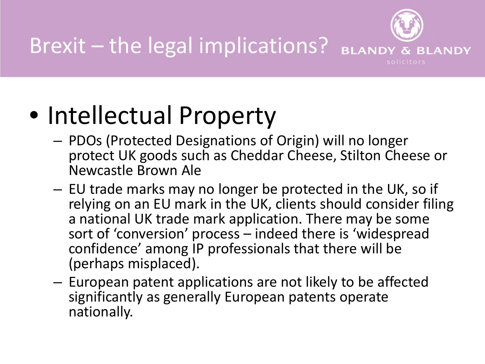

# • Intellectual Property

- PDOs (Protected Designations of Origin) will no longer protect UK goods such as Cheddar Cheese, Stilton Cheese or Newcastle Brown Ale
- EU trade marks may no longer be protected in the UK, so if relying on an EU mark in the UK, clients should consider filing a national UK trade mark application. There may be some sort of 'conversion' process – indeed there is 'widespread confidence' among IP professionals that there will be (perhaps misplaced).
- European patent applications are not likely to be affected significantly as generally European patents operate nationally.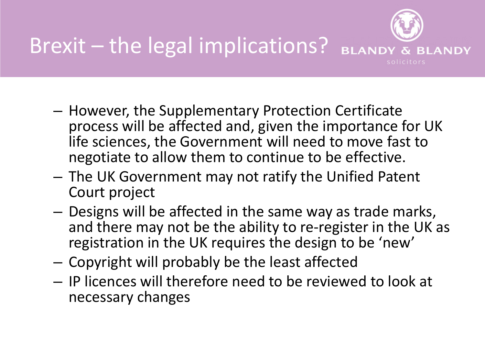

- However, the Supplementary Protection Certificate process will be affected and, given the importance for UK life sciences, the Government will need to move fast to negotiate to allow them to continue to be effective.
- The UK Government may not ratify the Unified Patent Court project
- Designs will be affected in the same way as trade marks, and there may not be the ability to re-register in the UK as registration in the UK requires the design to be 'new'
- Copyright will probably be the least affected
- IP licences will therefore need to be reviewed to look at necessary changes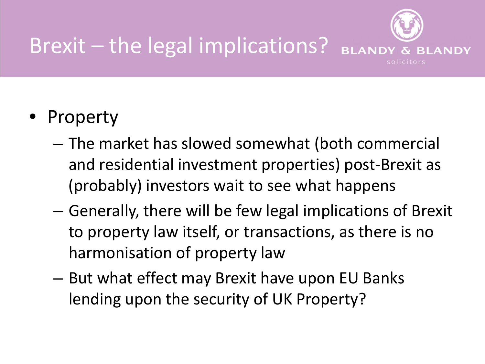

- Property
	- The market has slowed somewhat (both commercial and residential investment properties) post-Brexit as (probably) investors wait to see what happens
	- Generally, there will be few legal implications of Brexit to property law itself, or transactions, as there is no harmonisation of property law
	- But what effect may Brexit have upon EU Banks lending upon the security of UK Property?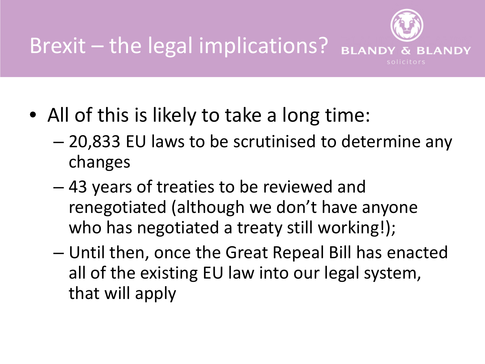

- All of this is likely to take a long time:
	- 20,833 EU laws to be scrutinised to determine any changes
	- 43 years of treaties to be reviewed and renegotiated (although we don't have anyone who has negotiated a treaty still working!);
	- Until then, once the Great Repeal Bill has enacted all of the existing EU law into our legal system, that will apply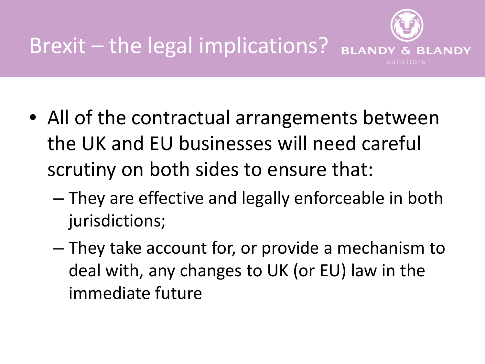

- All of the contractual arrangements between the UK and EU businesses will need careful scrutiny on both sides to ensure that:
	- They are effective and legally enforceable in both jurisdictions;
	- They take account for, or provide a mechanism to deal with, any changes to UK (or EU) law in the immediate future